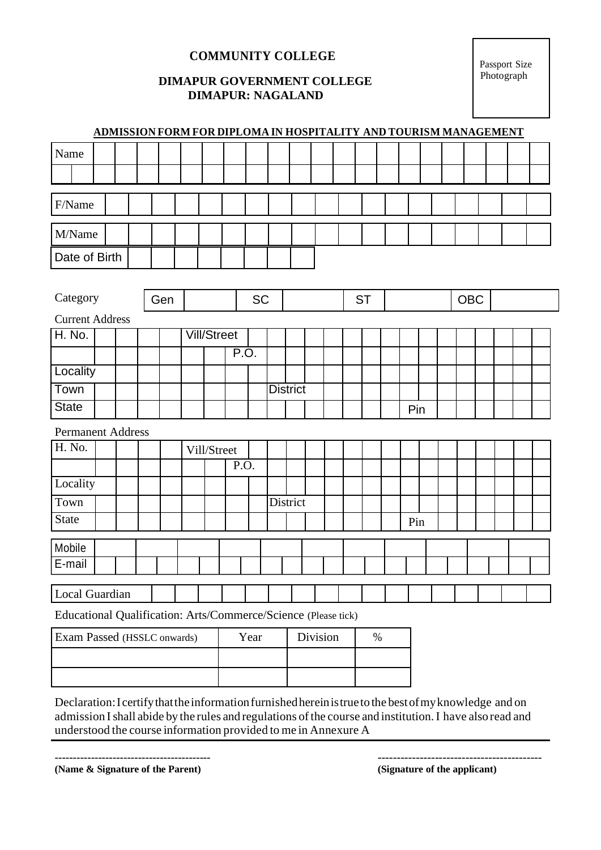### **COMMUNITY COLLEGE**

#### **DIMAPUR GOVERNMENT COLLEGE DIMAPUR: NAGALAND**

Passport Size Photograph

| Name<br>F/Name<br>M/Name<br>Date of Birth<br>Category<br><b>SC</b><br>OBC<br><b>ST</b><br>Gen<br><b>Current Address</b><br>H. No.<br><b>Vill/Street</b><br>P.O.<br>Locality |
|-----------------------------------------------------------------------------------------------------------------------------------------------------------------------------|
|                                                                                                                                                                             |
|                                                                                                                                                                             |
|                                                                                                                                                                             |
|                                                                                                                                                                             |
|                                                                                                                                                                             |
|                                                                                                                                                                             |
|                                                                                                                                                                             |
|                                                                                                                                                                             |
|                                                                                                                                                                             |
|                                                                                                                                                                             |
|                                                                                                                                                                             |
|                                                                                                                                                                             |
| Town<br><b>District</b>                                                                                                                                                     |
| <b>State</b><br>Pin                                                                                                                                                         |
| <b>Permanent Address</b>                                                                                                                                                    |
| H. No.<br>Vill/Street                                                                                                                                                       |
| P.O.                                                                                                                                                                        |
| Locality                                                                                                                                                                    |
| District<br>Town                                                                                                                                                            |
| <b>State</b><br>Pin                                                                                                                                                         |
| Mobile                                                                                                                                                                      |
| E-mail                                                                                                                                                                      |
|                                                                                                                                                                             |
| Local Guardian                                                                                                                                                              |
| Educational Qualification: Arts/Commerce/Science (Please tick)                                                                                                              |
| Exam Passed (HSSLC onwards)<br>Division<br>Year<br>$\%$                                                                                                                     |
|                                                                                                                                                                             |
|                                                                                                                                                                             |

Declaration:Icertifythattheinformationfurnishedhereinistruetothe bestofmyknowledge and on admission I shall abide by the rules and regulations of the course and institution. I have also read and understood the course information provided to me in Annexure A

------------------------------------------- **(Name & Signature of the Parent)**

------------------------------------------- **(Signature of the applicant)**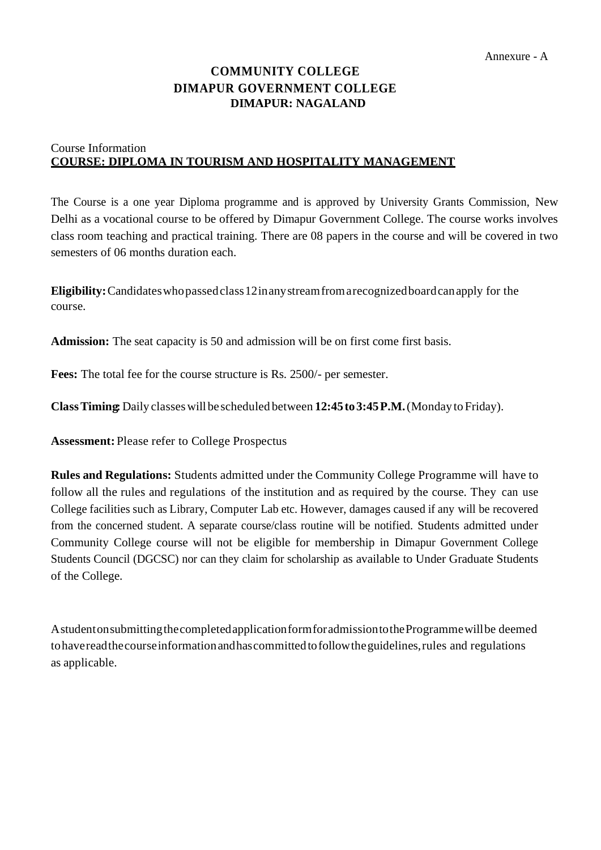## **COMMUNITY COLLEGE DIMAPUR GOVERNMENT COLLEGE DIMAPUR: NAGALAND**

#### Course Information **COURSE: DIPLOMA IN TOURISM AND HOSPITALITY MANAGEMENT**

The Course is a one year Diploma programme and is approved by University Grants Commission, New Delhi as a vocational course to be offered by Dimapur Government College. The course works involves class room teaching and practical training. There are 08 papers in the course and will be covered in two semesters of 06 months duration each.

**Eligibility:**Candidateswhopassedclass12inanystreamfromarecognizedboardcanapply for the course.

**Admission:** The seat capacity is 50 and admission will be on first come first basis.

**Fees:** The total fee for the course structure is Rs. 2500/- per semester.

**ClassTiming:** Daily classeswillbe scheduled between **12:45to3:45P.M.**(Monday to Friday).

**Assessment:** Please refer to College Prospectus

**Rules and Regulations:** Students admitted under the Community College Programme will have to follow all the rules and regulations of the institution and as required by the course. They can use College facilities such as Library, Computer Lab etc. However, damages caused if any will be recovered from the concerned student. A separate course/class routine will be notified. Students admitted under Community College course will not be eligible for membership in Dimapur Government College Students Council (DGCSC) nor can they claim for scholarship as available to Under Graduate Students of the College.

AstudentonsubmittingthecompletedapplicationformforadmissiontotheProgrammewillbe deemed tohavereadthecourseinformationandhascommittedtofollowtheguidelines,rules and regulations as applicable.